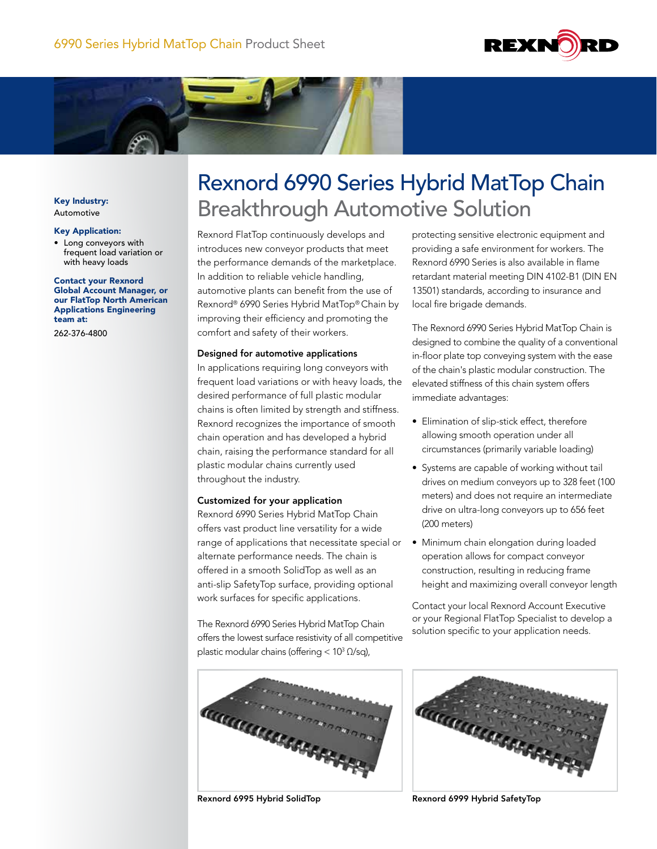



Key Industry: Automotive

### Key Application:

• Long conveyors with frequent load variation or with heavy loads

### Contact your Rexnord Global Account Manager, or our FlatTop North American Applications Engineering team at:

262-376-4800

# Rexnord 6990 Series Hybrid MatTop Chain Breakthrough Automotive Solution

Rexnord FlatTop continuously develops and introduces new conveyor products that meet the performance demands of the marketplace. In addition to reliable vehicle handling, automotive plants can benefit from the use of Rexnord® 6990 Series Hybrid MatTop® Chain by improving their efficiency and promoting the comfort and safety of their workers.

# Designed for automotive applications

In applications requiring long conveyors with frequent load variations or with heavy loads, the desired performance of full plastic modular chains is often limited by strength and stiffness. Rexnord recognizes the importance of smooth chain operation and has developed a hybrid chain, raising the performance standard for all plastic modular chains currently used throughout the industry.

# Customized for your application

Rexnord 6990 Series Hybrid MatTop Chain offers vast product line versatility for a wide range of applications that necessitate special or alternate performance needs. The chain is offered in a smooth SolidTop as well as an anti-slip SafetyTop surface, providing optional work surfaces for specific applications.

The Rexnord 6990 Series Hybrid MatTop Chain offers the lowest surface resistivity of all competitive plastic modular chains (offering <  $10<sup>3</sup>$  Ω/sq),

protecting sensitive electronic equipment and providing a safe environment for workers. The Rexnord 6990 Series is also available in flame retardant material meeting DIN 4102-B1 (DIN EN 13501) standards, according to insurance and local fire brigade demands.

The Rexnord 6990 Series Hybrid MatTop Chain is designed to combine the quality of a conventional in-floor plate top conveying system with the ease of the chain's plastic modular construction. The elevated stiffness of this chain system offers immediate advantages:

- Elimination of slip-stick effect, therefore allowing smooth operation under all circumstances (primarily variable loading)
- Systems are capable of working without tail drives on medium conveyors up to 328 feet (100 meters) and does not require an intermediate drive on ultra-long conveyors up to 656 feet (200 meters)
- Minimum chain elongation during loaded operation allows for compact conveyor construction, resulting in reducing frame height and maximizing overall conveyor length

Contact your local Rexnord Account Executive or your Regional FlatTop Specialist to develop a solution specific to your application needs.



Rexnord 6995 Hybrid SolidTop Rexnord 6999 Hybrid SafetyTop